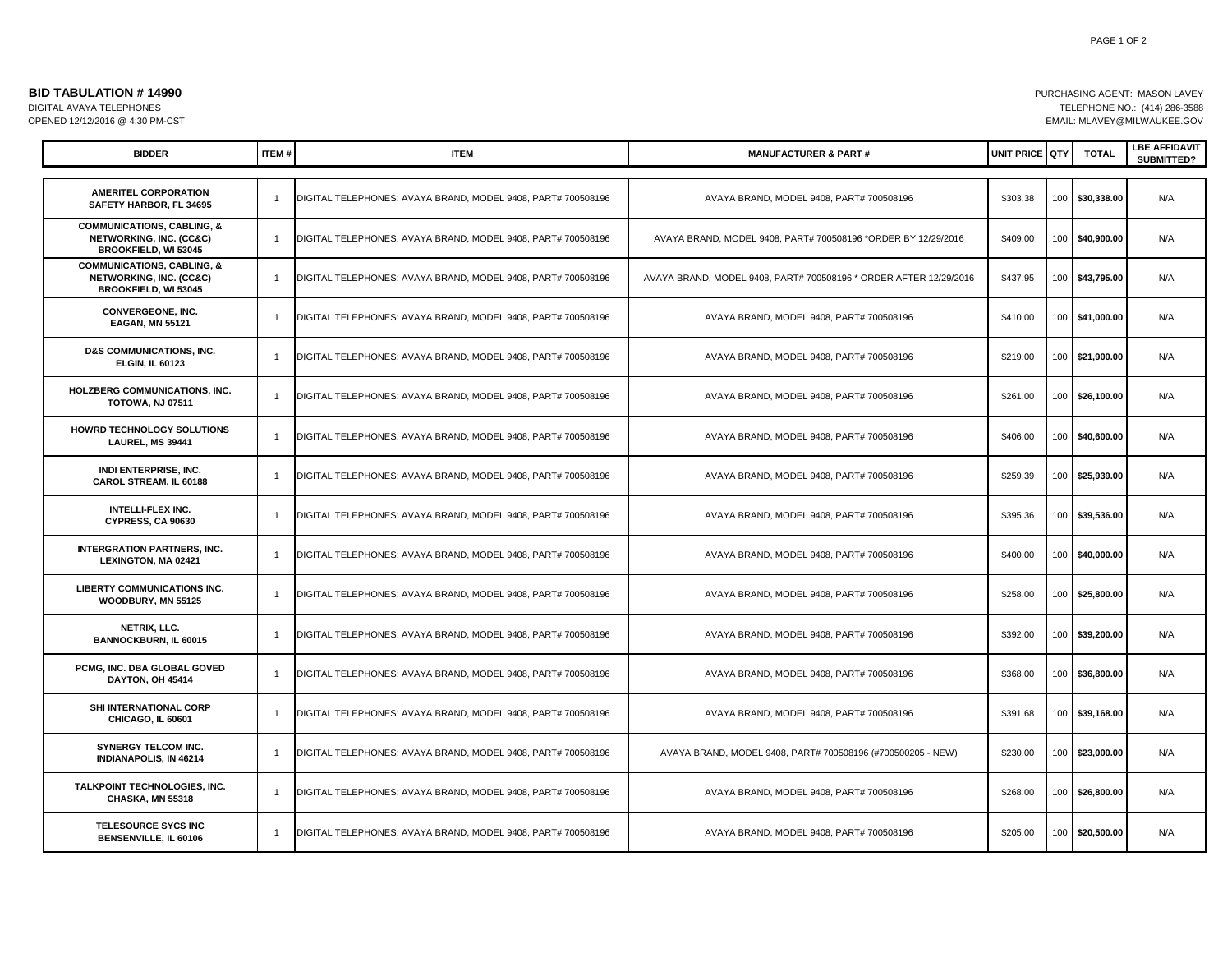| <b>BID TABULATION # 14990</b>   | PURCHASING AGENT: MASON LAVEY |
|---------------------------------|-------------------------------|
| DIGITAL AVAYA TELEPHONES        | TELEPHONE NO.: (414) 286-3588 |
| OPENED 12/12/2016 @ 4:30 PM-CST | EMAIL: MLAVEY@MILWAUKEE.GOV   |

| <b>BIDDER</b>                                                                                              | <b>ITEM#</b>   | <b>ITEM</b>                                                  | <b>MANUFACTURER &amp; PART#</b>                                   | UNIT PRICE QTY |                  | <b>TOTAL</b>    | <b>LBE AFFIDAVIT</b><br>SUBMITTED? |
|------------------------------------------------------------------------------------------------------------|----------------|--------------------------------------------------------------|-------------------------------------------------------------------|----------------|------------------|-----------------|------------------------------------|
|                                                                                                            |                |                                                              |                                                                   |                |                  |                 |                                    |
| <b>AMERITEL CORPORATION</b><br>SAFETY HARBOR. FL 34695                                                     | $\overline{1}$ | DIGITAL TELEPHONES: AVAYA BRAND, MODEL 9408, PART# 700508196 | AVAYA BRAND, MODEL 9408, PART# 700508196                          | \$303.38       | 100              | \$30,338.00     | N/A                                |
| <b>COMMUNICATIONS, CABLING, &amp;</b><br>NETWORKING, INC. (CC&C)<br>BROOKFIELD, WI 53045                   | $\overline{1}$ | DIGITAL TELEPHONES: AVAYA BRAND, MODEL 9408, PART# 700508196 | AVAYA BRAND, MODEL 9408, PART# 700508196 *ORDER BY 12/29/2016     | \$409.00       | 100 <sub>1</sub> | \$40,900.00     | N/A                                |
| <b>COMMUNICATIONS, CABLING, &amp;</b><br><b>NETWORKING, INC. (CC&amp;C)</b><br><b>BROOKFIELD, WI 53045</b> | $\overline{1}$ | DIGITAL TELEPHONES: AVAYA BRAND, MODEL 9408, PART# 700508196 | AVAYA BRAND, MODEL 9408, PART# 700508196 * ORDER AFTER 12/29/2016 | \$437.95       | 100              | \$43,795.00     | N/A                                |
| <b>CONVERGEONE, INC.</b><br><b>EAGAN, MN 55121</b>                                                         | $\overline{1}$ | DIGITAL TELEPHONES: AVAYA BRAND, MODEL 9408, PART# 700508196 | AVAYA BRAND, MODEL 9408, PART# 700508196                          | \$410.00       |                  | 100 \$41,000.00 | N/A                                |
| <b>D&amp;S COMMUNICATIONS, INC.</b><br><b>ELGIN, IL 60123</b>                                              | $\overline{1}$ | DIGITAL TELEPHONES: AVAYA BRAND, MODEL 9408, PART# 700508196 | AVAYA BRAND, MODEL 9408, PART# 700508196                          | \$219.00       |                  | 100 \$21,900.00 | N/A                                |
| HOLZBERG COMMUNICATIONS, INC.<br><b>TOTOWA, NJ 07511</b>                                                   | $\mathbf{1}$   | DIGITAL TELEPHONES: AVAYA BRAND, MODEL 9408, PART# 700508196 | AVAYA BRAND, MODEL 9408, PART# 700508196                          | \$261.00       |                  | 100 \$26,100.00 | N/A                                |
| HOWRD TECHNOLOGY SOLUTIONS<br>LAUREL, MS 39441                                                             | $\overline{1}$ | DIGITAL TELEPHONES: AVAYA BRAND, MODEL 9408, PART# 700508196 | AVAYA BRAND, MODEL 9408, PART# 700508196                          | \$406.00       |                  | 100 \$40,600.00 | N/A                                |
| <b>INDI ENTERPRISE, INC.</b><br>CAROL STREAM, IL 60188                                                     | $\overline{1}$ | DIGITAL TELEPHONES: AVAYA BRAND, MODEL 9408, PART# 700508196 | AVAYA BRAND, MODEL 9408, PART# 700508196                          | \$259.39       |                  | 100 \$25,939.00 | N/A                                |
| <b>INTELLI-FLEX INC.</b><br>CYPRESS, CA 90630                                                              | $\overline{1}$ | DIGITAL TELEPHONES: AVAYA BRAND, MODEL 9408, PART# 700508196 | AVAYA BRAND, MODEL 9408, PART# 700508196                          | \$395.36       | 100              | \$39,536.00     | N/A                                |
| <b>INTERGRATION PARTNERS, INC.</b><br><b>LEXINGTON, MA 02421</b>                                           | $\overline{1}$ | DIGITAL TELEPHONES: AVAYA BRAND, MODEL 9408, PART# 700508196 | AVAYA BRAND, MODEL 9408, PART# 700508196                          | \$400.00       |                  | 100 \$40,000.00 | N/A                                |
| <b>LIBERTY COMMUNICATIONS INC.</b><br>WOODBURY, MN 55125                                                   | $\overline{1}$ | DIGITAL TELEPHONES: AVAYA BRAND, MODEL 9408, PART# 700508196 | AVAYA BRAND, MODEL 9408, PART# 700508196                          | \$258.00       | 100              | \$25,800.00     | N/A                                |
| NETRIX, LLC.<br><b>BANNOCKBURN, IL 60015</b>                                                               | $\mathbf{1}$   | DIGITAL TELEPHONES: AVAYA BRAND, MODEL 9408, PART# 700508196 | AVAYA BRAND, MODEL 9408, PART# 700508196                          | \$392.00       | 100              | \$39,200.00     | N/A                                |
| PCMG, INC. DBA GLOBAL GOVED<br>DAYTON, OH 45414                                                            | $\overline{1}$ | DIGITAL TELEPHONES: AVAYA BRAND, MODEL 9408, PART# 700508196 | AVAYA BRAND, MODEL 9408, PART# 700508196                          | \$368.00       |                  | 100 \$36,800.00 | N/A                                |
| SHI INTERNATIONAL CORP<br>CHICAGO, IL 60601                                                                | $\overline{1}$ | DIGITAL TELEPHONES: AVAYA BRAND, MODEL 9408, PART# 700508196 | AVAYA BRAND, MODEL 9408, PART# 700508196                          | \$391.68       | 100              | \$39,168.00     | N/A                                |
| <b>SYNERGY TELCOM INC.</b><br><b>INDIANAPOLIS, IN 46214</b>                                                | $\overline{1}$ | DIGITAL TELEPHONES: AVAYA BRAND, MODEL 9408, PART# 700508196 | AVAYA BRAND, MODEL 9408, PART# 700508196 (#700500205 - NEW)       | \$230.00       |                  | 100 \$23,000.00 | N/A                                |
| TALKPOINT TECHNOLOGIES, INC.<br>CHASKA, MN 55318                                                           | $\overline{1}$ | DIGITAL TELEPHONES: AVAYA BRAND, MODEL 9408, PART# 700508196 | AVAYA BRAND, MODEL 9408, PART# 700508196                          | \$268.00       |                  | 100 \$26,800.00 | N/A                                |
| TELESOURCE SYCS INC<br>BENSENVILLE, IL 60106                                                               | $\overline{1}$ | DIGITAL TELEPHONES: AVAYA BRAND, MODEL 9408, PART# 700508196 | AVAYA BRAND, MODEL 9408, PART# 700508196                          | \$205.00       |                  | 100 \$20,500.00 | N/A                                |